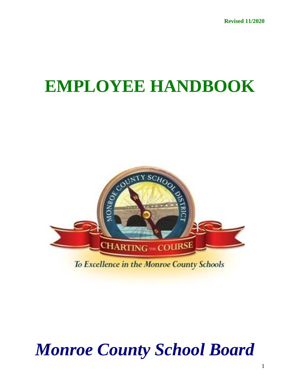# **EMPLOYEE HANDBOOK**



# *Monroe County School Board*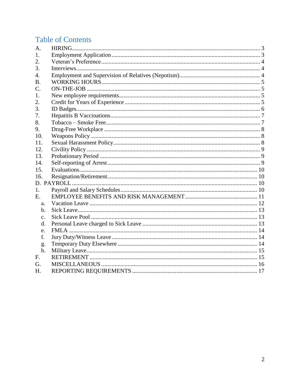# **Table of Contents**

| A.              |  |  |
|-----------------|--|--|
| 1.              |  |  |
| 2.              |  |  |
| 3.              |  |  |
| 4.              |  |  |
| <b>B.</b>       |  |  |
| $\mathcal{C}$ . |  |  |
| 1.              |  |  |
| 2.              |  |  |
| 3.              |  |  |
| 7.              |  |  |
| 8.              |  |  |
| 9.              |  |  |
| 10.             |  |  |
| 11.             |  |  |
| 12.             |  |  |
| 13.             |  |  |
| 14.             |  |  |
| 15.             |  |  |
| 16.             |  |  |
|                 |  |  |
| 1.              |  |  |
| E.              |  |  |
| a.              |  |  |
| $\mathbf b$ .   |  |  |
| C <sub>1</sub>  |  |  |
| d.              |  |  |
| e.              |  |  |
| f.              |  |  |
| g.              |  |  |
| h.              |  |  |
| F.              |  |  |
| G.              |  |  |
| Н.              |  |  |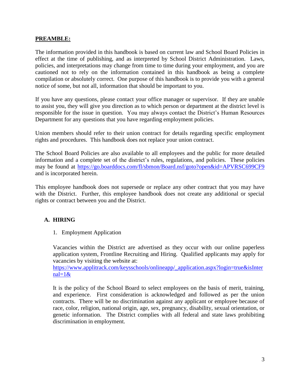### **PREAMBLE:**

The information provided in this handbook is based on current law and School Board Policies in effect at the time of publishing, and as interpreted by School District Administration. Laws, policies, and interpretations may change from time to time during your employment, and you are cautioned not to rely on the information contained in this handbook as being a complete compilation or absolutely correct. One purpose of this handbook is to provide you with a general notice of some, but not all, information that should be important to you.

If you have any questions, please contact your office manager or supervisor. If they are unable to assist you, they will give you direction as to which person or department at the district level is responsible for the issue in question. You may always contact the District's Human Resources Department for any questions that you have regarding employment policies.

Union members should refer to their union contract for details regarding specific employment rights and procedures. This handbook does not replace your union contract.

The School Board Policies are also available to all employees and the public for more detailed information and a complete set of the district's rules, regulations, and policies. These policies may be found at<https://go.boarddocs.com/fl/sbmon/Board.nsf/goto?open&id=APVRSC699CF9> and is incorporated herein.

This employee handbook does not supersede or replace any other contract that you may have with the District. Further, this employee handbook does not create any additional or special rights or contract between you and the District.

# <span id="page-2-1"></span><span id="page-2-0"></span>**A. HIRING**

1. Employment Application

Vacancies within the District are advertised as they occur with our online paperless application system, Frontline Recruiting and Hiring. Qualified applicants may apply for vacancies by visiting the website at:

[https://www.applitrack.com/keysschools/onlineapp/\\_application.aspx?login=true&isInter](https://www.applitrack.com/keysschools/onlineapp/_application.aspx?login=true&isInternal=1&) [nal=1&](https://www.applitrack.com/keysschools/onlineapp/_application.aspx?login=true&isInternal=1&)

It is the policy of the School Board to select employees on the basis of merit, training, and experience. First consideration is acknowledged and followed as per the union contracts. There will be no discrimination against any applicant or employee because of race, color, religion, national origin, age, sex, pregnancy, disability, sexual orientation, or genetic information. The District complies with all federal and state laws prohibiting discrimination in employment.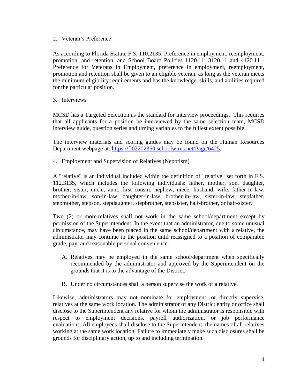#### <span id="page-3-0"></span>2. Veteran's Preference

As according to Florida Statute F.S. 110.2135, Preference in employment, reemployment, promotion, and retention, and School Board Policies 1120.11, 3120.11 and 4120.11 - Preference for Veterans in Employment, preference in employment, reemployment, promotion and retention shall be given to an eligible veteran, as long as the veteran meets the minimum eligibility requirements and has the knowledge, skills, and abilities required for the particular position.

<span id="page-3-1"></span>3. Interviews

MCSD has a Targeted Selection as the standard for interview proceedings. This requires that all applicants for a position be interviewed by the same selection team, MCSD interview guide, question series and timing variables to the fullest extent possible.

The interview materials and scoring guides may be found on the Human Resources Department webpage at: [https://fl02202360.schoolwires.net/Page/6425.](https://fl02202360.schoolwires.net/Page/6425)

<span id="page-3-2"></span>4. Employment and Supervision of Relatives (Nepotism)

A "relative" is an individual included within the definition of "relative" set forth in F.S. 112.3135, which includes the following individuals: father, mother, son, daughter, brother, sister, uncle, aunt, first cousin, nephew, niece, husband, wife, father-in-law, mother-in-law, son-in-law, daughter-in-law, brother-in-law, sister-in-law, stepfather, stepmother, stepson, stepdaughter, stepbrother, stepsister, half-brother, or half-sister.

Two (2) or more relatives shall not work in the same school/department except by permission of the Superintendent. In the event that an administrator, due to some unusual circumstance, may have been placed in the same school/department with a relative, the administrator may continue in the position until reassigned to a position of comparable grade, pay, and reasonable personal convenience.

- A. Relatives may be employed in the same school/department when specifically recommended by the administrator and approved by the Superintendent on the grounds that it is to the advantage of the District.
- B. Under no circumstances shall a person supervise the work of a relative.

Likewise, administrators may not nominate for employment, or directly supervise, relatives at the same work location. The administrator of any District entity or office shall disclose to the Superintendent any relative for whom the administrator is responsible with respect to employment decisions, payroll authorization, or job performance evaluations. All employees shall disclose to the Superintendent, the names of all relatives working at the same work location. Failure to immediately make such disclosures shall be grounds for disciplinary action, up to and including termination.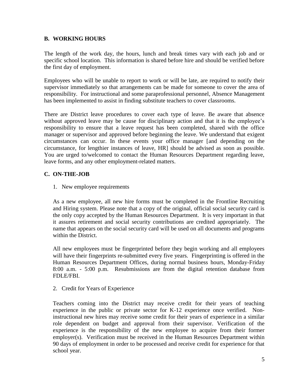# <span id="page-4-0"></span>**B. WORKING HOURS**

The length of the work day, the hours, lunch and break times vary with each job and or specific school location. This information is shared before hire and should be verified before the first day of employment.

Employees who will be unable to report to work or will be late, are required to notify their supervisor immediately so that arrangements can be made for someone to cover the area of responsibility. For instructional and some paraprofessional personnel, Absence Management has been implemented to assist in finding substitute teachers to cover classrooms.

There are District leave procedures to cover each type of leave. Be aware that absence without approved leave may be cause for disciplinary action and that it is the employee's responsibility to ensure that a leave request has been completed, shared with the office manager or supervisor and approved before beginning the leave. We understand that exigent circumstances can occur. In these events your office manager [and depending on the circumstance, for lengthier instances of leave, HR] should be advised as soon as possible. You are urged to/welcomed to contact the Human Resources Department regarding leave, leave forms, and any other employment-related matters.

# <span id="page-4-2"></span><span id="page-4-1"></span>**C. ON-THE-JOB**

1. New employee requirements

As a new employee, all new hire forms must be completed in the Frontline Recruiting and Hiring system. Please note that a copy of the original, official social security card is the only copy accepted by the Human Resources Department. It is very important in that it assures retirement and social security contributions are credited appropriately. The name that appears on the social security card will be used on all documents and programs within the District.

All new employees must be fingerprinted before they begin working and all employees will have their fingerprints re-submitted every five years. Fingerprinting is offered in the Human Resources Department Offices, during normal business hours, Monday-Friday 8:00 a.m. - 5:00 p.m. Resubmissions are from the digital retention database from FDLE/FBI.

<span id="page-4-3"></span>2. Credit for Years of Experience

Teachers coming into the District may receive credit for their years of teaching experience in the public or private sector for K-12 experience once verified. Noninstructional new hires may receive some credit for their years of experience in a similar role dependent on budget and approval from their supervisor. Verification of the experience is the responsibility of the new employee to acquire from their former employer(s). Verification must be received in the Human Resources Department within 90 days of employment in order to be processed and receive credit for experience for that school year.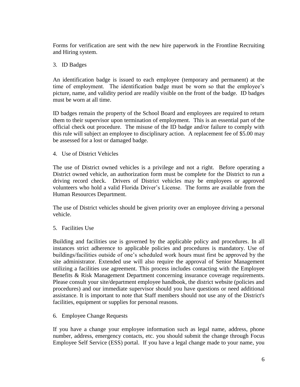Forms for verification are sent with the new hire paperwork in the Frontline Recruiting and Hiring system.

### <span id="page-5-0"></span>3. ID Badges

An identification badge is issued to each employee (temporary and permanent) at the time of employment. The identification badge must be worn so that the employee's picture, name, and validity period are readily visible on the front of the badge. ID badges must be worn at all time.

ID badges remain the property of the School Board and employees are required to return them to their supervisor upon termination of employment. This is an essential part of the official check out procedure. The misuse of the ID badge and/or failure to comply with this rule will subject an employee to disciplinary action. A replacement fee of \$5.00 may be assessed for a lost or damaged badge.

4. Use of District Vehicles

The use of District owned vehicles is a privilege and not a right. Before operating a District owned vehicle, an authorization form must be complete for the District to run a driving record check. Drivers of District vehicles may be employees or approved volunteers who hold a valid Florida Driver's License. The forms are available from the Human Resources Department.

The use of District vehicles should be given priority over an employee driving a personal vehicle.

5. Facilities Use

Building and facilities use is governed by the applicable policy and procedures. In all instances strict adherence to applicable policies and procedures is mandatory. Use of buildings/facilities outside of one's scheduled work hours must first be approved by the site administrator. Extended use will also require the approval of Senior Management utilizing a facilities use agreement. This process includes contacting with the Employee Benefits & Risk Management Department concerning insurance coverage requirements. Please consult your site/department employee handbook, the district website (policies and procedures) and our immediate supervisor should you have questions or need additional assistance. It is important to note that Staff members should not use any of the District's facilities, equipment or supplies for personal reasons.

6. Employee Change Requests

If you have a change your employee information such as legal name, address, phone number, address, emergency contacts, etc. you should submit the change through Focus Employee Self Service (ESS) portal. If you have a legal change made to your name, you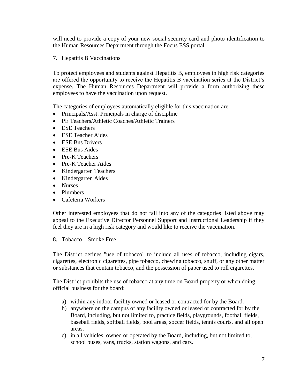will need to provide a copy of your new social security card and photo identification to the Human Resources Department through the Focus ESS portal.

<span id="page-6-0"></span>7. Hepatitis B Vaccinations

To protect employees and students against Hepatitis B, employees in high risk categories are offered the opportunity to receive the Hepatitis B vaccination series at the District's expense. The Human Resources Department will provide a form authorizing these employees to have the vaccination upon request.

The categories of employees automatically eligible for this vaccination are:

- Principals/Asst. Principals in charge of discipline
- PE Teachers/Athletic Coaches/Athletic Trainers
- ESE Teachers
- ESE Teacher Aides
- ESE Bus Drivers
- ESE Bus Aides
- Pre-K Teachers
- Pre-K Teacher Aides
- Kindergarten Teachers
- Kindergarten Aides
- Nurses
- Plumbers
- Cafeteria Workers

Other interested employees that do not fall into any of the categories listed above may appeal to the Executive Director Personnel Support and Instructional Leadership if they feel they are in a high risk category and would like to receive the vaccination.

<span id="page-6-1"></span>8. Tobacco – Smoke Free

The District defines "use of tobacco" to include all uses of tobacco, including cigars, cigarettes, electronic cigarettes, pipe tobacco, chewing tobacco, snuff, or any other matter or substances that contain tobacco, and the possession of paper used to roll cigarettes.

The District prohibits the use of tobacco at any time on Board property or when doing official business for the board:

- a) within any indoor facility owned or leased or contracted for by the Board.
- b) anywhere on the campus of any facility owned or leased or contracted for by the Board, including, but not limited to, practice fields, playgrounds, football fields, baseball fields, softball fields, pool areas, soccer fields, tennis courts, and all open areas.
- c) in all vehicles, owned or operated by the Board, including, but not limited to, school buses, vans, trucks, station wagons, and cars.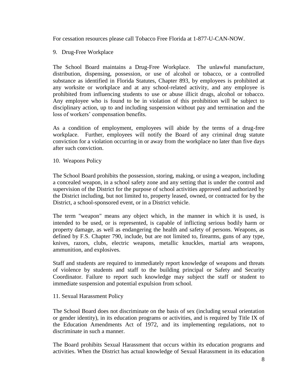For cessation resources please call Tobacco Free Florida at 1-877-U-CAN-NOW.

### <span id="page-7-0"></span>9. Drug-Free Workplace

The School Board maintains a Drug-Free Workplace. The unlawful manufacture, distribution, dispensing, possession, or use of alcohol or tobacco, or a controlled substance as identified in Florida Statutes, Chapter 893, by employees is prohibited at any worksite or workplace and at any school-related activity, and any employee is prohibited from influencing students to use or abuse illicit drugs, alcohol or tobacco. Any employee who is found to be in violation of this prohibition will be subject to disciplinary action, up to and including suspension without pay and termination and the loss of workers' compensation benefits.

As a condition of employment, employees will abide by the terms of a drug-free workplace. Further, employees will notify the Board of any criminal drug statute conviction for a violation occurring in or away from the workplace no later than five days after such conviction.

<span id="page-7-1"></span>10. Weapons Policy

The School Board prohibits the possession, storing, making, or using a weapon, including a concealed weapon, in a school safety zone and any setting that is under the control and supervision of the District for the purpose of school activities approved and authorized by the District including, but not limited to, property leased, owned, or contracted for by the District, a school-sponsored event, or in a District vehicle.

The term "weapon" means any object which, in the manner in which it is used, is intended to be used, or is represented, is capable of inflicting serious bodily harm or property damage, as well as endangering the health and safety of persons. Weapons, as defined by F.S. Chapter 790, include, but are not limited to, firearms, guns of any type, knives, razors, clubs, electric weapons, metallic knuckles, martial arts weapons, ammunition, and explosives.

Staff and students are required to immediately report knowledge of weapons and threats of violence by students and staff to the building principal or Safety and Security Coordinator. Failure to report such knowledge may subject the staff or student to immediate suspension and potential expulsion from school.

#### <span id="page-7-2"></span>11. Sexual Harassment Policy

The School Board does not discriminate on the basis of sex (including sexual orientation or gender identity), in its education programs or activities, and is required by Title IX of the Education Amendments Act of 1972, and its implementing regulations, not to discriminate in such a manner.

The Board prohibits Sexual Harassment that occurs within its education programs and activities. When the District has actual knowledge of Sexual Harassment in its education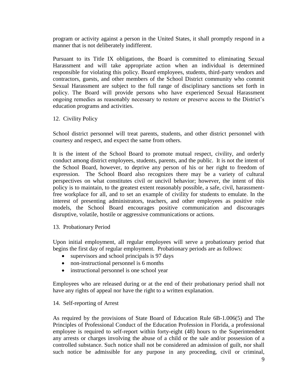program or activity against a person in the United States, it shall promptly respond in a manner that is not deliberately indifferent.

Pursuant to its Title IX obligations, the Board is committed to eliminating Sexual Harassment and will take appropriate action when an individual is determined responsible for violating this policy. Board employees, students, third-party vendors and contractors, guests, and other members of the School District community who commit Sexual Harassment are subject to the full range of disciplinary sanctions set forth in policy. The Board will provide persons who have experienced Sexual Harassment ongoing remedies as reasonably necessary to restore or preserve access to the District's education programs and activities.

#### <span id="page-8-0"></span>12. Civility Policy

School district personnel will treat parents, students, and other district personnel with courtesy and respect, and expect the same from others.

It is the intent of the School Board to promote mutual respect, civility, and orderly conduct among district employees, students, parents, and the public. It is not the intent of the School Board, however, to deprive any person of his or her right to freedom of expression. The School Board also recognizes there may be a variety of cultural perspectives on what constitutes civil or uncivil behavior; however, the intent of this policy is to maintain, to the greatest extent reasonably possible, a safe, civil, harassmentfree workplace for all, and to set an example of civility for students to emulate. In the interest of presenting administrators, teachers, and other employees as positive role models, the School Board encourages positive communication and discourages disruptive, volatile, hostile or aggressive communications or actions.

#### <span id="page-8-1"></span>13. Probationary Period

Upon initial employment, all regular employees will serve a probationary period that begins the first day of regular employment. Probationary periods are as follows:

- supervisors and school principals is 97 days
- non-instructional personnel is 6 months
- instructional personnel is one school year

Employees who are released during or at the end of their probationary period shall not have any rights of appeal nor have the right to a written explanation.

#### <span id="page-8-2"></span>14. Self-reporting of Arrest

As required by the provisions of State Board of Education Rule 6B-1.006(5) and The Principles of Professional Conduct of the Education Profession in Florida, a professional employee is required to self-report within forty-eight (48) hours to the Superintendent any arrests or charges involving the abuse of a child or the sale and/or possession of a controlled substance. Such notice shall not be considered an admission of guilt, nor shall such notice be admissible for any purpose in any proceeding, civil or criminal,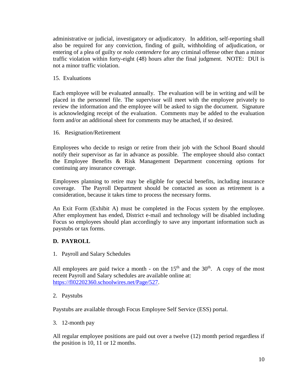administrative or judicial, investigatory or adjudicatory. In addition, self-reporting shall also be required for any conviction, finding of guilt, withholding of adjudication, or entering of a plea of guilty or *nolo contendere* for any criminal offense other than a minor traffic violation within forty-eight (48) hours after the final judgment. NOTE: DUI is not a minor traffic violation.

#### <span id="page-9-0"></span>15. Evaluations

Each employee will be evaluated annually. The evaluation will be in writing and will be placed in the personnel file. The supervisor will meet with the employee privately to review the information and the employee will be asked to sign the document. Signature is acknowledging receipt of the evaluation. Comments may be added to the evaluation form and/or an additional sheet for comments may be attached, if so desired.

<span id="page-9-1"></span>16. Resignation/Retirement

Employees who decide to resign or retire from their job with the School Board should notify their supervisor as far in advance as possible. The employee should also contact the Employee Benefits & Risk Management Department concerning options for continuing any insurance coverage.

Employees planning to retire may be eligible for special benefits, including insurance coverage. The Payroll Department should be contacted as soon as retirement is a consideration, because it takes time to process the necessary forms.

An Exit Form (Exhibit A) must be completed in the Focus system by the employee. After employment has ended, District e-mail and technology will be disabled including Focus so employees should plan accordingly to save any important information such as paystubs or tax forms.

# <span id="page-9-2"></span>**D. PAYROLL**

<span id="page-9-3"></span>1. Payroll and Salary Schedules

All employees are paid twice a month - on the  $15<sup>th</sup>$  and the  $30<sup>th</sup>$ . A copy of the most recent Payroll and Salary schedules are available online at: [https://fl02202360.schoolwires.net/Page/527.](https://fl02202360.schoolwires.net/Page/527)

#### 2. Paystubs

Paystubs are available through Focus Employee Self Service (ESS) portal.

3. 12-month pay

All regular employee positions are paid out over a twelve (12) month period regardless if the position is 10, 11 or 12 months.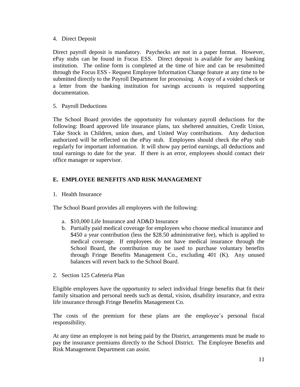### 4. Direct Deposit

Direct payroll deposit is mandatory. Paychecks are not in a paper format. However, ePay stubs can be found in Focus ESS. Direct deposit is available for any banking institution. The online form is completed at the time of hire and can be resubmitted through the Focus ESS - Request Employee Information Change feature at any time to be submitted directly to the Payroll Department for processing. A copy of a voided check or a letter from the banking institution for savings accounts is required supporting documentation.

5. Payroll Deductions

The School Board provides the opportunity for voluntary payroll deductions for the following: Board approved life insurance plans, tax sheltered annuities, Credit Union, Take Stock in Children, union dues, and United Way contributions. Any deduction authorized will be reflected on the ePay stub. Employees should check the ePay stub regularly for important information. It will show pay period earnings, all deductions and total earnings to date for the year. If there is an error, employees should contact their office manager or supervisor.

# <span id="page-10-0"></span>**E. EMPLOYEE BENEFITS AND RISK MANAGEMENT**

1. Health Insurance

The School Board provides all employees with the following:

- a. \$10,000 Life Insurance and AD&D Insurance
- b. Partially paid medical coverage for employees who choose medical insurance and \$450 a year contribution (less the \$28.50 administrative fee), which is applied to medical coverage. If employees do not have medical insurance through the School Board, the contribution may be used to purchase voluntary benefits through Fringe Benefits Management Co., excluding 401 (K). Any unused balances will revert back to the School Board.
- 2. Section 125 Cafeteria Plan

Eligible employees have the opportunity to select individual fringe benefits that fit their family situation and personal needs such as dental, vision, disability insurance, and extra life insurance through Fringe Benefits Management Co.

The costs of the premium for these plans are the employee's personal fiscal responsibility.

At any time an employee is not being paid by the District, arrangements must be made to pay the insurance premiums directly to the School District. The Employee Benefits and Risk Management Department can assist.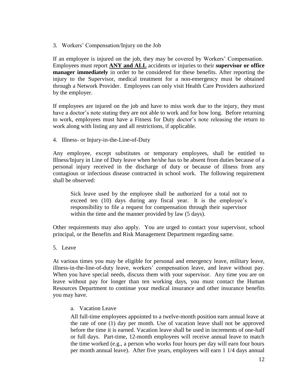3. Workers' Compensation/Injury on the Job

If an employee is injured on the job, they may be covered by Workers' Compensation. Employees must report **ANY and ALL** accidents or injuries to their **supervisor or office manager immediately** in order to be considered for these benefits. After reporting the injury to the Supervisor, medical treatment for a non-emergency must be obtained through a Network Provider. Employees can only visit Health Care Providers authorized by the employer.

If employees are injured on the job and have to miss work due to the injury, they must have a doctor's note stating they are not able to work and for how long. Before returning to work, employees must have a Fitness for Duty doctor's note releasing the return to work along with listing any and all restrictions, if applicable.

4. Illness- or Injury-in-the-Line-of-Duty

Any employee, except substitutes or temporary employees, shall be entitled to Illness/Injury in Line of Duty leave when he/she has to be absent from duties because of a personal injury received in the discharge of duty or because of illness from any contagious or infectious disease contracted in school work. The following requirement shall be observed:

Sick leave used by the employee shall be authorized for a total not to exceed ten (10) days during any fiscal year. It is the employee's responsibility to file a request for compensation through their supervisor within the time and the manner provided by law (5 days).

Other requirements may also apply. You are urged to contact your supervisor, school principal, or the Benefits and Risk Management Department regarding same.

5. Leave

At various times you may be eligible for personal and emergency leave, military leave, illness-in-the-line-of-duty leave, workers' compensation leave, and leave without pay. When you have special needs, discuss them with your supervisor. Any time you are on leave without pay for longer than ten working days, you must contact the Human Resources Department to continue your medical insurance and other insurance benefits you may have.

<span id="page-11-0"></span>a. Vacation Leave

All full-time employees appointed to a twelve-month position earn annual leave at the rate of one (1) day per month. Use of vacation leave shall not be approved before the time it is earned. Vacation leave shall be used in increments of one-half or full days. Part-time, 12-month employees will receive annual leave to match the time worked (e.g., a person who works four hours per day will earn four hours per month annual leave). After five years, employees will earn 1 1/4 days annual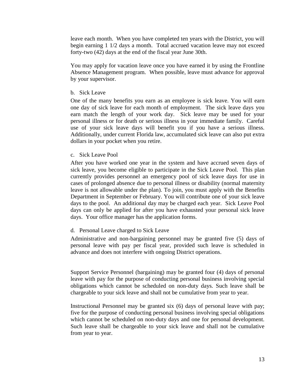leave each month. When you have completed ten years with the District, you will begin earning 1 1/2 days a month. Total accrued vacation leave may not exceed forty-two (42) days at the end of the fiscal year June 30th.

You may apply for vacation leave once you have earned it by using the Frontline Absence Management program. When possible, leave must advance for approval by your supervisor.

<span id="page-12-0"></span>b. Sick Leave

One of the many benefits you earn as an employee is sick leave. You will earn one day of sick leave for each month of employment. The sick leave days you earn match the length of your work day. Sick leave may be used for your personal illness or for death or serious illness in your immediate family. Careful use of your sick leave days will benefit you if you have a serious illness. Additionally, under current Florida law, accumulated sick leave can also put extra dollars in your pocket when you retire.

<span id="page-12-1"></span>c. Sick Leave Pool

After you have worked one year in the system and have accrued seven days of sick leave, you become eligible to participate in the Sick Leave Pool. This plan currently provides personnel an emergency pool of sick leave days for use in cases of prolonged absence due to personal illness or disability (normal maternity leave is not allowable under the plan). To join, you must apply with the Benefits Department in September or February. You will contribute one of your sick leave days to the pool. An additional day may be charged each year. Sick Leave Pool days can only be applied for after you have exhausted your personal sick leave days. Your office manager has the application forms.

<span id="page-12-2"></span>d. Personal Leave charged to Sick Leave

Administrative and non-bargaining personnel may be granted five (5) days of personal leave with pay per fiscal year, provided such leave is scheduled in advance and does not interfere with ongoing District operations.

Support Service Personnel (bargaining) may be granted four (4) days of personal leave with pay for the purpose of conducting personal business involving special obligations which cannot be scheduled on non-duty days. Such leave shall be chargeable to your sick leave and shall not be cumulative from year to year.

Instructional Personnel may be granted six (6) days of personal leave with pay; five for the purpose of conducting personal business involving special obligations which cannot be scheduled on non-duty days and one for personal development. Such leave shall be chargeable to your sick leave and shall not be cumulative from year to year.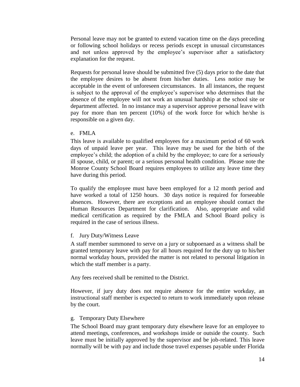Personal leave may not be granted to extend vacation time on the days preceding or following school holidays or recess periods except in unusual circumstances and not unless approved by the employee's supervisor after a satisfactory explanation for the request.

Requests for personal leave should be submitted five (5) days prior to the date that the employee desires to be absent from his/her duties. Less notice may be acceptable in the event of unforeseen circumstances. In all instances, the request is subject to the approval of the employee's supervisor who determines that the absence of the employee will not work an unusual hardship at the school site or department affected. In no instance may a supervisor approve personal leave with pay for more than ten percent (10%) of the work force for which he/she is responsible on a given day.

#### <span id="page-13-0"></span>e. FMLA

This leave is available to qualified employees for a maximum period of 60 work days of unpaid leave per year. This leave may be used for the birth of the employee's child; the adoption of a child by the employee; to care for a seriously ill spouse, child, or parent; or a serious personal health condition. Please note the Monroe County School Board requires employees to utilize any leave time they have during this period.

To qualify the employee must have been employed for a 12 month period and have worked a total of 1250 hours. 30 days notice is required for forseeable absences. However, there are exceptions and an employee should contact the Human Resources Department for clarification. Also, appropriate and valid medical certification as required by the FMLA and School Board policy is required in the case of serious illness.

#### <span id="page-13-1"></span>f. Jury Duty/Witness Leave

A staff member summoned to serve on a jury or subpoenaed as a witness shall be granted temporary leave with pay for all hours required for the duty up to his/her normal workday hours, provided the matter is not related to personal litigation in which the staff member is a party.

Any fees received shall be remitted to the District.

However, if jury duty does not require absence for the entire workday, an instructional staff member is expected to return to work immediately upon release by the court.

#### <span id="page-13-2"></span>g. Temporary Duty Elsewhere

The School Board may grant temporary duty elsewhere leave for an employee to attend meetings, conferences, and workshops inside or outside the county. Such leave must be initially approved by the supervisor and be job-related. This leave normally will be with pay and include those travel expenses payable under Florida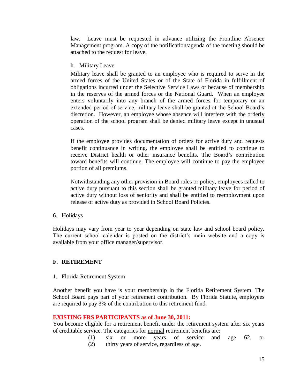law. Leave must be requested in advance utilizing the Frontline Absence Management program. A copy of the notification/agenda of the meeting should be attached to the request for leave.

<span id="page-14-0"></span>h. Military Leave

Military leave shall be granted to an employee who is required to serve in the armed forces of the United States or of the State of Florida in fulfillment of obligations incurred under the Selective Service Laws or because of membership in the reserves of the armed forces or the National Guard. When an employee enters voluntarily into any branch of the armed forces for temporary or an extended period of service, military leave shall be granted at the School Board's discretion. However, an employee whose absence will interfere with the orderly operation of the school program shall be denied military leave except in unusual cases.

If the employee provides documentation of orders for active duty and requests benefit continuance in writing, the employee shall be entitled to continue to receive District health or other insurance benefits. The Board's contribution toward benefits will continue. The employee will continue to pay the employee portion of all premiums.

Notwithstanding any other provision in Board rules or policy, employees called to active duty pursuant to this section shall be granted military leave for period of active duty without loss of seniority and shall be entitled to reemployment upon release of active duty as provided in School Board Policies.

6. Holidays

Holidays may vary from year to year depending on state law and school board policy. The current school calendar is posted on the district's main website and a copy is available from your office manager/supervisor.

# <span id="page-14-1"></span>**F. RETIREMENT**

1. Florida Retirement System

Another benefit you have is your membership in the Florida Retirement System. The School Board pays part of your retirement contribution. By Florida Statute, employees are required to pay 3% of the contribution to this retirement fund.

# **EXISTING FRS PARTICIPANTS as of June 30, 2011:**

You become eligible for a retirement benefit under the retirement system after six years of creditable service. The categories for normal retirement benefits are:

> (1) six or more years of service and age 62, or (2) thirty years of service, regardless of age.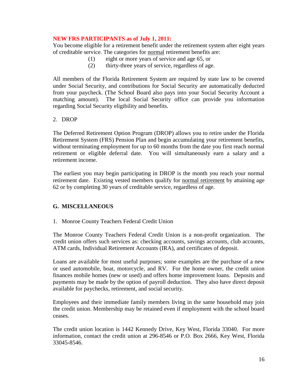### **NEW FRS PARTICIPANTS as of July 1, 2011:**

You become eligible for a retirement benefit under the retirement system after eight years of creditable service. The categories for normal retirement benefits are:

- (1) eight or more years of service and age 65, or
- (2) thirty-three years of service, regardless of age.

All members of the Florida Retirement System are required by state law to be covered under Social Security, and contributions for Social Security are automatically deducted from your paycheck. (The School Board also pays into your Social Security Account a matching amount). The local Social Security office can provide you information regarding Social Security eligibility and benefits.

#### 2. DROP

The Deferred Retirement Option Program (DROP) allows you to retire under the Florida Retirement System (FRS) Pension Plan and begin accumulating your retirement benefits, without terminating employment for up to 60 months from the date you first reach normal retirement or eligible deferral date. You will simultaneously earn a salary and a retirement income.

The earliest you may begin participating in DROP is the month you reach your normal retirement date. Existing vested members qualify for normal retirement by attaining age 62 or by completing 30 years of creditable service, regardless of age.

# <span id="page-15-0"></span>**G. MISCELLANEOUS**

#### 1. Monroe County Teachers Federal Credit Union

The Monroe County Teachers Federal Credit Union is a non-profit organization. The credit union offers such services as: checking accounts, savings accounts, club accounts, ATM cards, Individual Retirement Accounts (IRA), and certificates of deposit.

Loans are available for most useful purposes; some examples are the purchase of a new or used automobile, boat, motorcycle, and RV. For the home owner, the credit union finances mobile homes (new or used) and offers home improvement loans. Deposits and payments may be made by the option of payroll deduction. They also have direct deposit available for paychecks, retirement, and social security.

Employees and their immediate family members living in the same household may join the credit union. Membership may be retained even if employment with the school board ceases.

The credit union location is 1442 Kennedy Drive, Key West, Florida 33040. For more information, contact the credit union at 296-8546 or P.O. Box 2666, Key West, Florida 33045-8546.